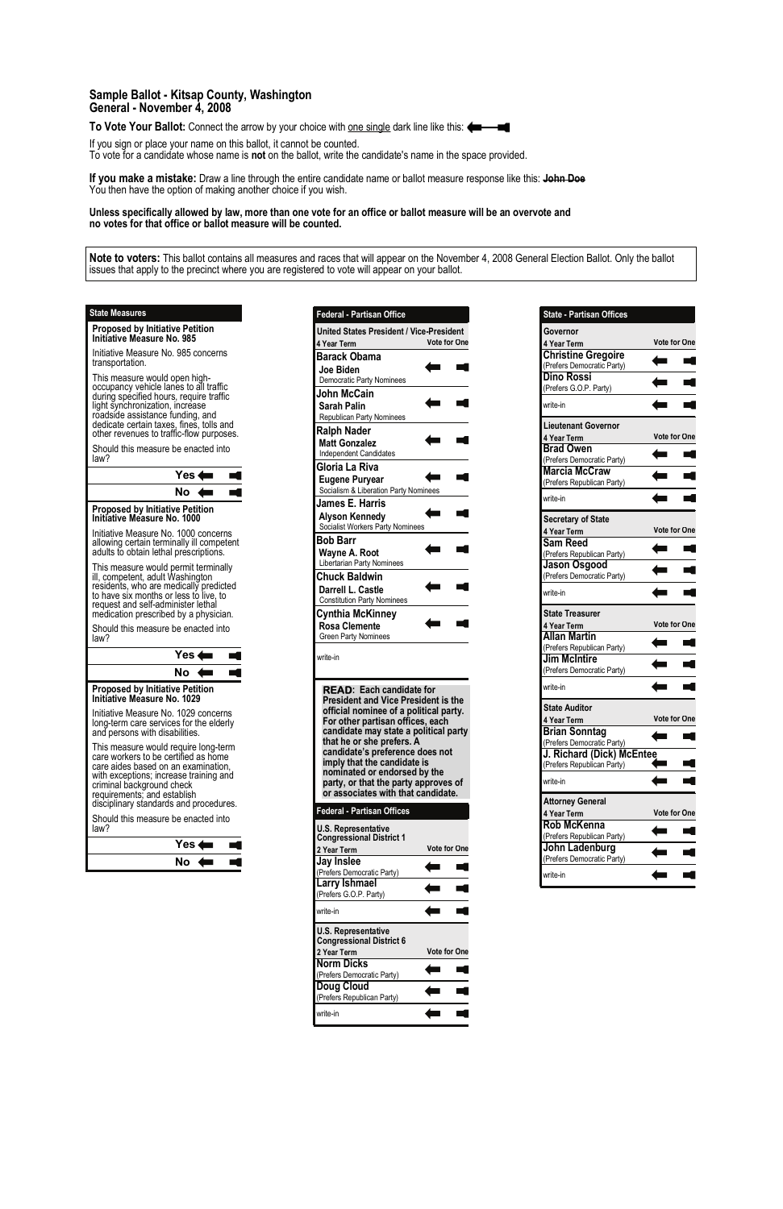| <b>Federal - Partisan Office</b>                                                     |                     |
|--------------------------------------------------------------------------------------|---------------------|
| <b>United States President / Vice-President</b>                                      |                     |
| 4 Year Term<br><b>Barack Obama</b>                                                   | <b>Vote for One</b> |
| Joe Biden                                                                            |                     |
| Democratic Party Nominees                                                            |                     |
| John McCain                                                                          |                     |
| <b>Sarah Palin</b>                                                                   |                     |
| <b>Republican Party Nominees</b>                                                     |                     |
| <b>Ralph Nader</b>                                                                   |                     |
| <b>Matt Gonzalez</b><br><b>Independent Candidates</b>                                |                     |
| Gloria La Riva                                                                       |                     |
| <b>Eugene Puryear</b>                                                                |                     |
| Socialism & Liberation Party Nominees                                                |                     |
| James E. Harris                                                                      |                     |
| <b>Alyson Kennedy</b>                                                                |                     |
| Socialist Workers Party Nominees                                                     |                     |
| <b>Bob Barr</b>                                                                      |                     |
| Wayne A. Root<br>Libertarian Party Nominees                                          |                     |
| <b>Chuck Baldwin</b>                                                                 |                     |
| Darrell L. Castle                                                                    |                     |
| <b>Constitution Party Nominees</b>                                                   |                     |
| Cynthia McKinney                                                                     |                     |
| Rosa Clemente<br><b>Green Party Nominees</b>                                         |                     |
|                                                                                      |                     |
| write-in                                                                             |                     |
|                                                                                      |                     |
| <b>READ:</b> Each candidate for                                                      |                     |
| <b>President and Vice President is the</b><br>official nominee of a political party. |                     |
| For other partisan offices, each                                                     |                     |
| candidate may state a political party                                                |                     |
| that he or she prefers. A<br>candidate's preference does not                         |                     |
| imply that the candidate is                                                          |                     |
| nominated or endorsed by the                                                         |                     |
| party, or that the party approves of<br>or associates with that candidate.           |                     |
|                                                                                      |                     |
| <b>Federal - Partisan Offices</b>                                                    |                     |
| <b>U.S. Representative</b><br><b>Congressional District 1</b>                        |                     |
| 2 Year Term                                                                          | <b>Vote for One</b> |
| Jay Inslee                                                                           |                     |
| (Prefers Democratic Party)                                                           |                     |

| Larry Ishmael<br>(Prefers G.O.P. Party)                       |                     |  |
|---------------------------------------------------------------|---------------------|--|
| write-in                                                      |                     |  |
| <b>U.S. Representative</b><br><b>Congressional District 6</b> |                     |  |
| 2 Year Term                                                   | <b>Vote for One</b> |  |
|                                                               |                     |  |
| <b>Norm Dicks</b>                                             |                     |  |
| (Prefers Democratic Party)                                    |                     |  |
|                                                               |                     |  |
| <b>Doug Cloud</b><br>(Prefers Republican Party)               |                     |  |

| <b>State - Partisan Offices</b> |                     |
|---------------------------------|---------------------|
| Governor                        |                     |
| 4 Year Term                     | <b>Vote for One</b> |
| <b>Christine Gregoire</b>       |                     |
| (Prefers Democratic Party)      |                     |
| Dino Rossi                      |                     |
| (Prefers G.O.P. Party)          |                     |
| write-in                        |                     |
| Lieutenant Governor             |                     |
| 4 Year Term                     | <b>Vote for One</b> |
| <b>Brad Owen</b>                |                     |
| (Prefers Democratic Party)      |                     |
| <b>Marcia McCraw</b>            |                     |
| (Prefers Republican Party)      |                     |
| write-in                        |                     |
| <b>Secretary of State</b>       |                     |
| 4 Year Term                     | <b>Vote for One</b> |
| <b>Sam Reed</b>                 |                     |
| (Prefers Republican Party)      |                     |
| Jason Osgood                    |                     |
| (Prefers Democratic Party)      |                     |
| write-in                        |                     |
| <b>State Treasurer</b>          |                     |
| 4 Year Term                     | Vote for One        |
| <b>Allan Martin</b>             |                     |
| (Prefers Republican Party)      |                     |
| <b>Jim McIntire</b>             |                     |
| (Prefers Democratic Party)      |                     |
| write-in                        |                     |
|                                 |                     |
| <b>State Auditor</b>            |                     |
| 4 Year Term                     | <b>Vote for One</b> |
| <b>Brian Sonntag</b>            |                     |
| (Prefers Democratic Party)      |                     |
| J. Richard (Dick) McEntee       |                     |
| (Prefers Republican Party)      |                     |
| write-in                        |                     |
| <b>Attorney General</b>         |                     |
| 4 Year Term                     | Vote for One        |
| <b>Rob McKenna</b>              |                     |
| (Prefers Republican Party)      |                     |
|                                 |                     |
| John Ladenburg                  |                     |
| (Prefers Democratic Party)      |                     |

## **Sample Ballot - Kitsap County, Washington General - November 4, 2008**

**To Vote Your Ballot:** Connect the arrow by your choice with <u>one single</u> dark line like this:

If you sign or place your name on this ballot, it cannot be counted.

To vote for a candidate whose name is **not** on the ballot, write the candidate's name in the space provided.

**If you make a mistake:** Draw a line through the entire candidate name or ballot measure response like this: **John Doe** You then have the option of making another choice if you wish.

**Unless specifically allowed by law, more than one vote for an office or ballot measure will be an overvote and no votes for that office or ballot measure will be counted.**

**Note to voters:** This ballot contains all measures and races that will appear on the November 4, 2008 General Election Ballot. Only the ballot issues that apply to the precinct where you are registered to vote will appear on your ballot.

**Proposed by Initiative Petition Initiative Measure No. 985** 

Initiative Measure No. 985 concerns transportation.

This measure would open highoccupancy vehicle lanes to all traffic during specified hours, require traffic light synchronization, increase roadside assistance funding, and dedicate certain taxes, fines, tolls and other revenues to traffic-flow purposes.

Should this measure be enacted into law?

## **State Measures**



**Initiative Measure No. 1000**  Initiative Measure No. 1000 concerns

allowing certain terminally ill competent adults to obtain lethal prescriptions.

This measure would permit terminally ill, competent, adult Washington residents, who are medically predicted to have six months or less to live, to request and self-administer lethal medication prescribed by a physician.

Should this measure be enacted into law?





| Yes $\leftarrow$ |  |
|------------------|--|
| Nο               |  |

## **Proposed by Initiative Petition Initiative Measure No. 1029**

Initiative Measure No. 1029 concerns long-term care services for the elderly and persons with disabilities.

This measure would require long-term care workers to be certified as home care aides based on an examination, with exceptions; increase training and criminal background check requirements; and establish disciplinary standards and procedures.

Should this measure be enacted into

law?